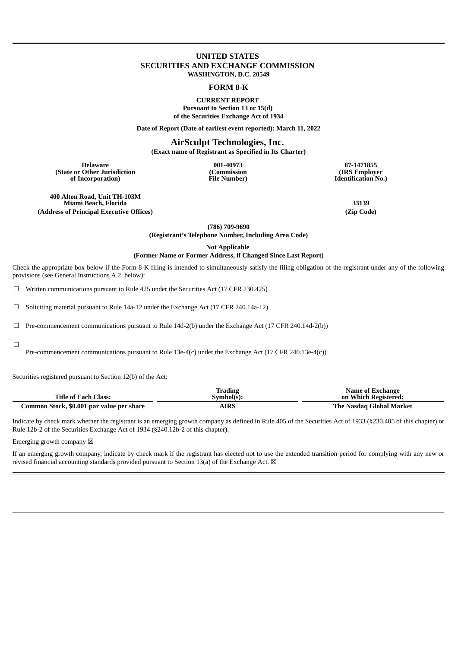# **UNITED STATES SECURITIES AND EXCHANGE COMMISSION WASHINGTON, D.C. 20549**

## **FORM 8-K**

**CURRENT REPORT Pursuant to Section 13 or 15(d) of the Securities Exchange Act of 1934**

**Date of Report (Date of earliest event reported): March 11, 2022**

## **AirSculpt Technologies, Inc.**

**(Exact name of Registrant as Specified in Its Charter)**

**Delaware (State or Other Jurisdiction of Incorporation)**

**001-40973 (Commission File Number)**

**87-1471855 (IRS Employer Identification No.)**

**400 Alton Road, Unit TH-103M Miami Beach, Florida 33139 (Address of Principal Executive Offices) (Zip Code)**

**(786) 709-9690**

**(Registrant's Telephone Number, Including Area Code)**

**Not Applicable**

### **(Former Name or Former Address, if Changed Since Last Report)**

Check the appropriate box below if the Form 8-K filing is intended to simultaneously satisfy the filing obligation of the registrant under any of the following provisions (see General Instructions A.2. below):

☐ Written communications pursuant to Rule 425 under the Securities Act (17 CFR 230.425)

☐ Soliciting material pursuant to Rule 14a-12 under the Exchange Act (17 CFR 240.14a-12)

 $\Box$  Pre-commencement communications pursuant to Rule 14d-2(b) under the Exchange Act (17 CFR 240.14d-2(b))

 $\Box$ 

Pre-commencement communications pursuant to Rule 13e-4(c) under the Exchange Act (17 CFR 240.13e-4(c))

Securities registered pursuant to Section 12(b) of the Act:

|                                           | Trading    | Name of Exchange         |
|-------------------------------------------|------------|--------------------------|
| <b>Title of Each Class:</b>               | Svmbol(s): | on Which Registered:     |
| Common Stock, \$0.001 par value per share | AIRS       | The Nasdag Global Market |

Indicate by check mark whether the registrant is an emerging growth company as defined in Rule 405 of the Securities Act of 1933 (§230.405 of this chapter) or Rule 12b-2 of the Securities Exchange Act of 1934 (§240.12b-2 of this chapter).

Emerging growth company  $\boxtimes$ 

If an emerging growth company, indicate by check mark if the registrant has elected not to use the extended transition period for complying with any new or revised financial accounting standards provided pursuant to Section 13(a) of the Exchange Act.  $\boxtimes$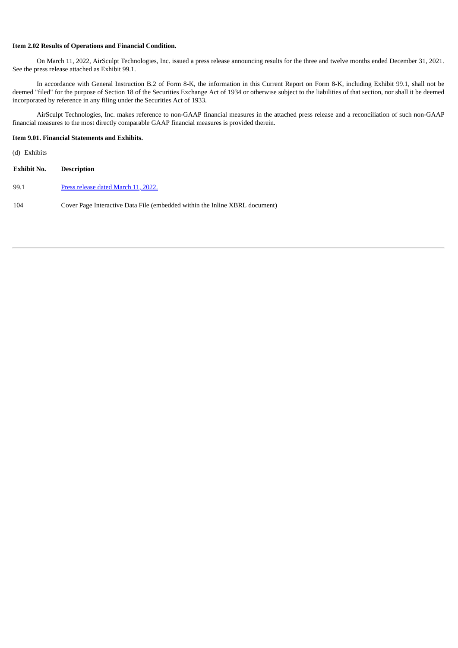# **Item 2.02 Results of Operations and Financial Condition.**

On March 11, 2022, AirSculpt Technologies, Inc. issued a press release announcing results for the three and twelve months ended December 31, 2021. See the press release attached as Exhibit 99.1.

In accordance with General Instruction B.2 of Form 8-K, the information in this Current Report on Form 8-K, including Exhibit 99.1, shall not be deemed "filed" for the purpose of Section 18 of the Securities Exchange Act of 1934 or otherwise subject to the liabilities of that section, nor shall it be deemed incorporated by reference in any filing under the Securities Act of 1933.

AirSculpt Technologies, Inc. makes reference to non-GAAP financial measures in the attached press release and a reconciliation of such non-GAAP financial measures to the most directly comparable GAAP financial measures is provided therein.

### **Item 9.01. Financial Statements and Exhibits.**

(d) Exhibits

| Exhibit No. | <b>Description</b>                  |
|-------------|-------------------------------------|
| 99.1        | Press release dated March 11, 2022. |

104 Cover Page Interactive Data File (embedded within the Inline XBRL document)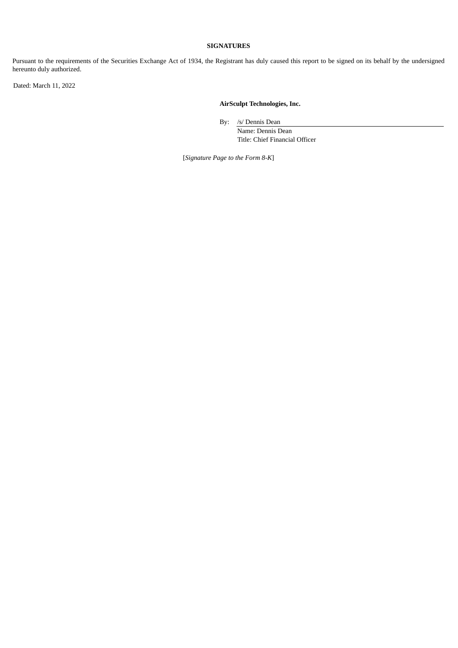# **SIGNATURES**

Pursuant to the requirements of the Securities Exchange Act of 1934, the Registrant has duly caused this report to be signed on its behalf by the undersigned hereunto duly authorized.

Dated: March 11, 2022

# **AirSculpt Technologies, Inc.**

By: /s/ Dennis Dean

Name: Dennis Dean Title: Chief Financial Officer

[*Signature Page to the Form 8-K*]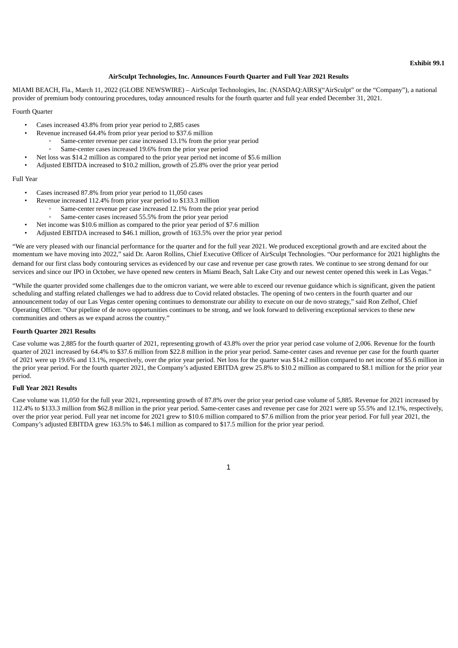### **AirSculpt Technologies, Inc. Announces Fourth Quarter and Full Year 2021 Results**

<span id="page-3-0"></span>MIAMI BEACH, Fla., March 11, 2022 (GLOBE NEWSWIRE) – AirSculpt Technologies, Inc. (NASDAQ:AIRS)("AirSculpt" or the "Company"), a national provider of premium body contouring procedures, today announced results for the fourth quarter and full year ended December 31, 2021.

#### Fourth Quarter

- Cases increased 43.8% from prior year period to 2,885 cases
	- Revenue increased 64.4% from prior year period to \$37.6 million
		- Same-center revenue per case increased 13.1% from the prior year period
		- Same-center cases increased 19.6% from the prior year period
	- Net loss was \$14.2 million as compared to the prior year period net income of \$5.6 million
- Adjusted EBITDA increased to \$10.2 million, growth of 25.8% over the prior year period

#### Full Year

- Cases increased 87.8% from prior year period to 11,050 cases
	- Revenue increased 112.4% from prior year period to \$133.3 million
		- Same-center revenue per case increased 12.1% from the prior year period
			- Same-center cases increased 55.5% from the prior year period
	- Net income was \$10.6 million as compared to the prior year period of \$7.6 million
- Adjusted EBITDA increased to \$46.1 million, growth of 163.5% over the prior year period

"We are very pleased with our financial performance for the quarter and for the full year 2021. We produced exceptional growth and are excited about the momentum we have moving into 2022," said Dr. Aaron Rollins, Chief Executive Officer of AirSculpt Technologies. "Our performance for 2021 highlights the demand for our first class body contouring services as evidenced by our case and revenue per case growth rates. We continue to see strong demand for our services and since our IPO in October, we have opened new centers in Miami Beach, Salt Lake City and our newest center opened this week in Las Vegas."

"While the quarter provided some challenges due to the omicron variant, we were able to exceed our revenue guidance which is significant, given the patient scheduling and staffing related challenges we had to address due to Covid related obstacles. The opening of two centers in the fourth quarter and our announcement today of our Las Vegas center opening continues to demonstrate our ability to execute on our de novo strategy," said Ron Zelhof, Chief Operating Officer. "Our pipeline of de novo opportunities continues to be strong, and we look forward to delivering exceptional services to these new communities and others as we expand across the country."

#### **Fourth Quarter 2021 Results**

Case volume was 2,885 for the fourth quarter of 2021, representing growth of 43.8% over the prior year period case volume of 2,006. Revenue for the fourth quarter of 2021 increased by 64.4% to \$37.6 million from \$22.8 million in the prior year period. Same-center cases and revenue per case for the fourth quarter of 2021 were up 19.6% and 13.1%, respectively, over the prior year period. Net loss for the quarter was \$14.2 million compared to net income of \$5.6 million in the prior year period. For the fourth quarter 2021, the Company's adjusted EBITDA grew 25.8% to \$10.2 million as compared to \$8.1 million for the prior year period.

### **Full Year 2021 Results**

Case volume was 11,050 for the full year 2021, representing growth of 87.8% over the prior year period case volume of 5,885. Revenue for 2021 increased by 112.4% to \$133.3 million from \$62.8 million in the prior year period. Same-center cases and revenue per case for 2021 were up 55.5% and 12.1%, respectively, over the prior year period. Full year net income for 2021 grew to \$10.6 million compared to \$7.6 million from the prior year period. For full year 2021, the Company's adjusted EBITDA grew 163.5% to \$46.1 million as compared to \$17.5 million for the prior year period.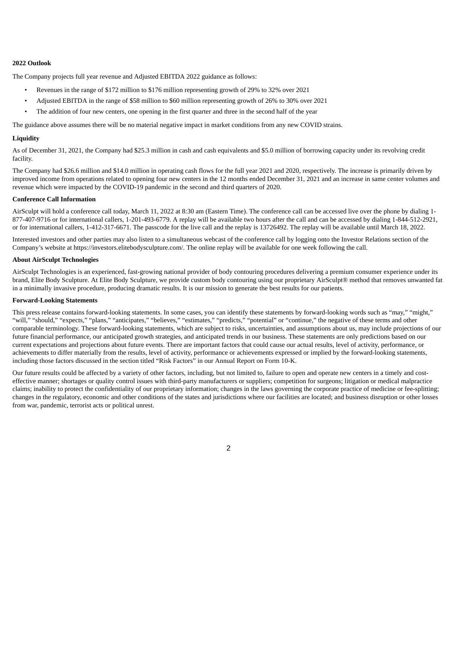## **2022 Outlook**

The Company projects full year revenue and Adjusted EBITDA 2022 guidance as follows:

- Revenues in the range of \$172 million to \$176 million representing growth of 29% to 32% over 2021
- Adjusted EBITDA in the range of \$58 million to \$60 million representing growth of 26% to 30% over 2021
- The addition of four new centers, one opening in the first quarter and three in the second half of the year

The guidance above assumes there will be no material negative impact in market conditions from any new COVID strains.

### **Liquidity**

As of December 31, 2021, the Company had \$25.3 million in cash and cash equivalents and \$5.0 million of borrowing capacity under its revolving credit facility.

The Company had \$26.6 million and \$14.0 million in operating cash flows for the full year 2021 and 2020, respectively. The increase is primarily driven by improved income from operations related to opening four new centers in the 12 months ended December 31, 2021 and an increase in same center volumes and revenue which were impacted by the COVID-19 pandemic in the second and third quarters of 2020.

### **Conference Call Information**

AirSculpt will hold a conference call today, March 11, 2022 at 8:30 am (Eastern Time). The conference call can be accessed live over the phone by dialing 1- 877-407-9716 or for international callers, 1-201-493-6779. A replay will be available two hours after the call and can be accessed by dialing 1-844-512-2921, or for international callers, 1-412-317-6671. The passcode for the live call and the replay is 13726492. The replay will be available until March 18, 2022.

Interested investors and other parties may also listen to a simultaneous webcast of the conference call by logging onto the Investor Relations section of the Company's website at https://investors.elitebodysculpture.com/. The online replay will be available for one week following the call.

## **About AirSculpt Technologies**

AirSculpt Technologies is an experienced, fast-growing national provider of body contouring procedures delivering a premium consumer experience under its brand, Elite Body Sculpture. At Elite Body Sculpture, we provide custom body contouring using our proprietary AirSculpt® method that removes unwanted fat in a minimally invasive procedure, producing dramatic results. It is our mission to generate the best results for our patients.

### **Forward-Looking Statements**

This press release contains forward-looking statements. In some cases, you can identify these statements by forward-looking words such as "may," "might," "will," "should," "expects," "plans," "anticipates," "believes," "estimates," "predicts," "potential" or "continue," the negative of these terms and other comparable terminology. These forward-looking statements, which are subject to risks, uncertainties, and assumptions about us, may include projections of our future financial performance, our anticipated growth strategies, and anticipated trends in our business. These statements are only predictions based on our current expectations and projections about future events. There are important factors that could cause our actual results, level of activity, performance, or achievements to differ materially from the results, level of activity, performance or achievements expressed or implied by the forward-looking statements, including those factors discussed in the section titled "Risk Factors" in our Annual Report on Form 10-K.

Our future results could be affected by a variety of other factors, including, but not limited to, failure to open and operate new centers in a timely and costeffective manner; shortages or quality control issues with third-party manufacturers or suppliers; competition for surgeons; litigation or medical malpractice claims; inability to protect the confidentiality of our proprietary information; changes in the laws governing the corporate practice of medicine or fee-splitting; changes in the regulatory, economic and other conditions of the states and jurisdictions where our facilities are located; and business disruption or other losses from war, pandemic, terrorist acts or political unrest.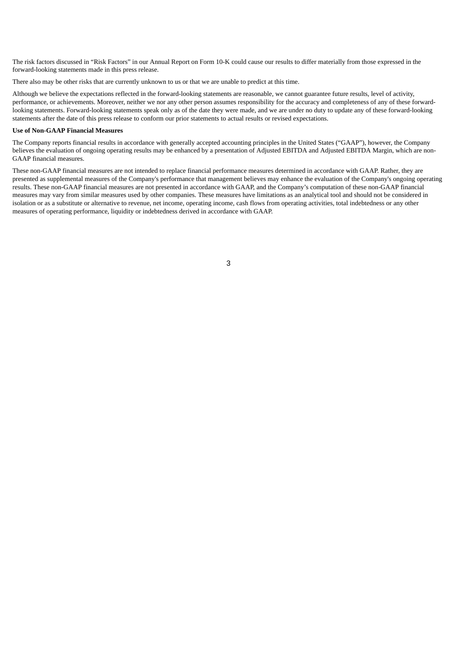The risk factors discussed in "Risk Factors" in our Annual Report on Form 10-K could cause our results to differ materially from those expressed in the forward-looking statements made in this press release.

There also may be other risks that are currently unknown to us or that we are unable to predict at this time.

Although we believe the expectations reflected in the forward-looking statements are reasonable, we cannot guarantee future results, level of activity, performance, or achievements. Moreover, neither we nor any other person assumes responsibility for the accuracy and completeness of any of these forwardlooking statements. Forward-looking statements speak only as of the date they were made, and we are under no duty to update any of these forward-looking statements after the date of this press release to conform our prior statements to actual results or revised expectations.

### **Use of Non-GAAP Financial Measures**

The Company reports financial results in accordance with generally accepted accounting principles in the United States ("GAAP"), however, the Company believes the evaluation of ongoing operating results may be enhanced by a presentation of Adjusted EBITDA and Adjusted EBITDA Margin, which are non-GAAP financial measures.

These non-GAAP financial measures are not intended to replace financial performance measures determined in accordance with GAAP. Rather, they are presented as supplemental measures of the Company's performance that management believes may enhance the evaluation of the Company's ongoing operating results. These non-GAAP financial measures are not presented in accordance with GAAP, and the Company's computation of these non-GAAP financial measures may vary from similar measures used by other companies. These measures have limitations as an analytical tool and should not be considered in isolation or as a substitute or alternative to revenue, net income, operating income, cash flows from operating activities, total indebtedness or any other measures of operating performance, liquidity or indebtedness derived in accordance with GAAP.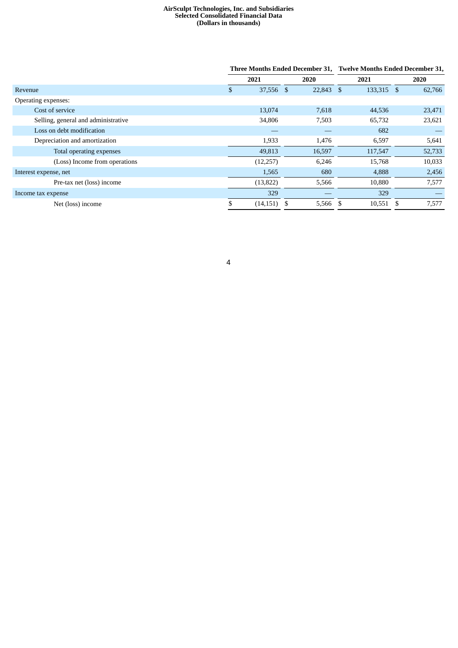#### **AirSculpt Technologies, Inc. and Subsidiaries Selected Consolidated Financial Data (Dollars in thousands)**

|                                     | Three Months Ended December 31, Twelve Months Ended December 31, |           |     |           |  |            |   |        |  |
|-------------------------------------|------------------------------------------------------------------|-----------|-----|-----------|--|------------|---|--------|--|
|                                     | 2021                                                             |           |     | 2020      |  | 2021       |   | 2020   |  |
| Revenue                             | $\mathbb{S}$                                                     | 37,556    | -\$ | 22,843 \$ |  | 133,315 \$ |   | 62,766 |  |
| Operating expenses:                 |                                                                  |           |     |           |  |            |   |        |  |
| Cost of service                     |                                                                  | 13,074    |     | 7,618     |  | 44,536     |   | 23,471 |  |
| Selling, general and administrative |                                                                  | 34,806    |     | 7,503     |  | 65,732     |   | 23,621 |  |
| Loss on debt modification           |                                                                  | –         |     |           |  | 682        |   |        |  |
| Depreciation and amortization       |                                                                  | 1,933     |     | 1,476     |  | 6,597      |   | 5,641  |  |
| Total operating expenses            |                                                                  | 49,813    |     | 16,597    |  | 117,547    |   | 52,733 |  |
| (Loss) Income from operations       |                                                                  | (12, 257) |     | 6.246     |  | 15,768     |   | 10,033 |  |
| Interest expense, net               |                                                                  | 1,565     |     | 680       |  | 4,888      |   | 2,456  |  |
| Pre-tax net (loss) income           |                                                                  | (13,822)  |     | 5,566     |  | 10,880     |   | 7,577  |  |
| Income tax expense                  |                                                                  | 329       |     |           |  | 329        |   |        |  |
| Net (loss) income                   | \$                                                               | (14, 151) | S.  | 5,566 \$  |  | 10,551     | S | 7,577  |  |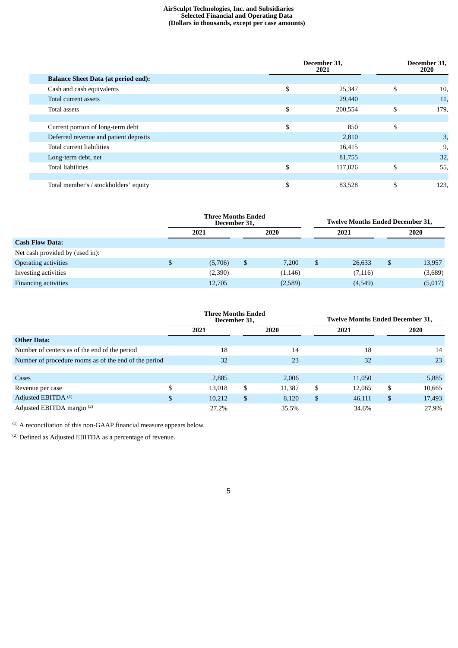#### **AirSculpt Technologies, Inc. and Subsidiaries Selected Financial and Operating Data (Dollars in thousands, except per case amounts)**

|                                            | December 31,<br>2021 |               | December 31,<br>2020 |  |
|--------------------------------------------|----------------------|---------------|----------------------|--|
| <b>Balance Sheet Data (at period end):</b> |                      |               |                      |  |
| Cash and cash equivalents                  | \$<br>25,347         | \$            | 10,                  |  |
| Total current assets                       | 29,440               |               | 11                   |  |
| Total assets                               | \$<br>200,554        | \$            | 179,                 |  |
|                                            |                      |               |                      |  |
| Current portion of long-term debt          | \$<br>850            | \$            |                      |  |
| Deferred revenue and patient deposits      | 2,810                |               | 3,                   |  |
| Total current liabilities                  | 16,415               |               | 9,                   |  |
| Long-term debt, net                        | 81,755               |               | 32,                  |  |
| <b>Total liabilities</b>                   | \$<br>117,026        | \$            | 55,                  |  |
|                                            |                      |               |                      |  |
| Total member's / stockholders' equity      | \$<br>83,528         | <b>Φ</b><br>C | 123,                 |  |

|                                 | <b>Three Months Ended</b><br>December 31, |         |    |          |    | <b>Twelve Months Ended December 31,</b> |   |         |  |  |
|---------------------------------|-------------------------------------------|---------|----|----------|----|-----------------------------------------|---|---------|--|--|
|                                 |                                           | 2021    |    | 2020     |    | 2021                                    |   | 2020    |  |  |
| <b>Cash Flow Data:</b>          |                                           |         |    |          |    |                                         |   |         |  |  |
| Net cash provided by (used in): |                                           |         |    |          |    |                                         |   |         |  |  |
| <b>Operating activities</b>     |                                           | (5,706) | \$ | 7.200    | \$ | 26,633                                  | Ъ | 13,957  |  |  |
| Investing activities            |                                           | (2,390) |    | (1, 146) |    | (7, 116)                                |   | (3,689) |  |  |
| <b>Financing activities</b>     |                                           | 12,705  |    | (2,589)  |    | (4,549)                                 |   | (5,017) |  |  |

|                                                       | <b>Three Months Ended</b><br>December 31, |    |        |    | <b>Twelve Months Ended December 31,</b> |    |        |
|-------------------------------------------------------|-------------------------------------------|----|--------|----|-----------------------------------------|----|--------|
|                                                       | 2021                                      |    | 2020   |    | 2021                                    |    | 2020   |
| <b>Other Data:</b>                                    |                                           |    |        |    |                                         |    |        |
| Number of centers as of the end of the period         | 18                                        |    | 14     |    | 18                                      |    | 14     |
| Number of procedure rooms as of the end of the period | 32                                        |    | 23     |    | 32                                      |    | 23     |
|                                                       |                                           |    |        |    |                                         |    |        |
| Cases                                                 | 2,885                                     |    | 2.006  |    | 11,050                                  |    | 5,885  |
| Revenue per case                                      | \$<br>13,018                              | \$ | 11,387 | \$ | 12,065                                  | \$ | 10,665 |
| Adjusted EBITDA <sup>(1)</sup>                        | \$<br>10,212                              | \$ | 8,120  | \$ | 46,111                                  | \$ | 17,493 |
| Adjusted EBITDA margin <sup>(2)</sup>                 | 27.2%                                     |    | 35.5%  |    | 34.6%                                   |    | 27.9%  |

 $(1)$  A reconciliation of this non-GAAP financial measure appears below.

 $^{(2)}$  Defined as Adjusted EBITDA as a percentage of revenue.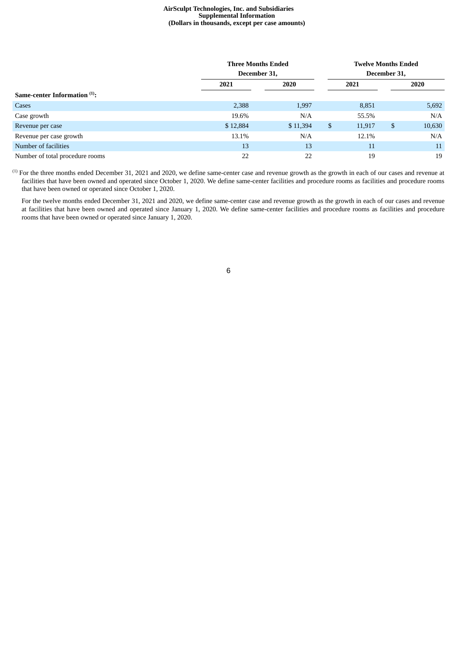#### **AirSculpt Technologies, Inc. and Subsidiaries Supplemental Information (Dollars in thousands, except per case amounts)**

|                                 |          | <b>Three Months Ended</b><br>December 31, | <b>Twelve Months Ended</b><br>December 31, |    |        |  |
|---------------------------------|----------|-------------------------------------------|--------------------------------------------|----|--------|--|
|                                 | 2021     | 2020                                      | 2021                                       |    | 2020   |  |
| Same-center Information (1):    |          |                                           |                                            |    |        |  |
| Cases                           | 2,388    | 1,997                                     | 8,851                                      |    | 5,692  |  |
| Case growth                     | 19.6%    | N/A                                       | 55.5%                                      |    | N/A    |  |
| Revenue per case                | \$12,884 | \$11,394                                  | \$<br>11,917                               | \$ | 10,630 |  |
| Revenue per case growth         | 13.1%    | N/A                                       | 12.1%                                      |    | N/A    |  |
| Number of facilities            | 13       | 13                                        | 11                                         |    | 11     |  |
| Number of total procedure rooms | 22       | 22                                        | 19                                         |    | 19     |  |

 $^{(1)}$  For the three months ended December 31, 2021 and 2020, we define same-center case and revenue growth as the growth in each of our cases and revenue at facilities that have been owned and operated since October 1, 2020. We define same-center facilities and procedure rooms as facilities and procedure rooms that have been owned or operated since October 1, 2020.

For the twelve months ended December 31, 2021 and 2020, we define same-center case and revenue growth as the growth in each of our cases and revenue at facilities that have been owned and operated since January 1, 2020. We define same-center facilities and procedure rooms as facilities and procedure rooms that have been owned or operated since January 1, 2020.